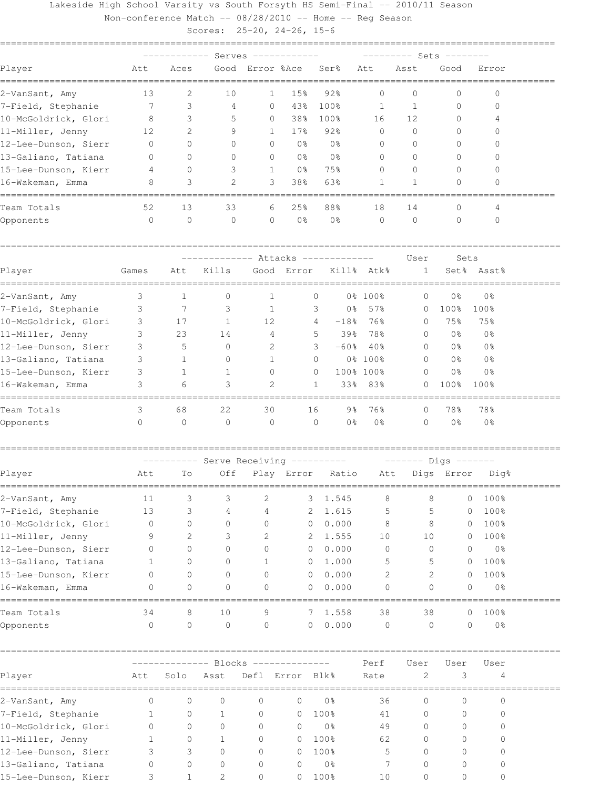## Lakeside High School Varsity vs South Forsyth HS Semi-Final -- 2010/11 Season

Non-conference Match -- 08/28/2010 -- Home -- Reg Season

Scores: 25-20, 24-26, 15-6

|                                    | ------- Sets -------<br>Serves --- |              |                                      |                 |                 |                          |                                  |                        |                |                  |
|------------------------------------|------------------------------------|--------------|--------------------------------------|-----------------|-----------------|--------------------------|----------------------------------|------------------------|----------------|------------------|
| Player                             | Att                                | Aces         |                                      | Good Error %Ace |                 | Ser <sup>8</sup>         | Att                              | Asst                   | Good           | Error            |
| 2-VanSant, Amy                     | 13                                 | 2            | 10                                   | 1               | 15%             | 92%                      | 0                                | 0                      | 0              | 0                |
| 7-Field, Stephanie                 | 7                                  | 3            | 4                                    | 0               | 43%             | 100%                     | 1                                | 1                      | 0              | $\mathbf{0}$     |
| 10-McGoldrick, Glori               | 8                                  | 3            | 5                                    | 0               | 38%             | 100%                     | 16                               | 12                     | $\mathbf 0$    | 4                |
| 11-Miller, Jenny                   | 12                                 | 2            | 9                                    | 1               | 17%             | 92%                      | 0                                | 0                      | 0              | 0                |
| 12-Lee-Dunson, Sierr               | 0                                  | 0            | 0                                    | 0               | 0 <sub>8</sub>  | 0%                       | 0                                | 0                      | 0              | $\left( \right)$ |
| 13-Galiano, Tatiana                | 0                                  | $\Omega$     | 0                                    | 0               | 0 <sub>8</sub>  | 0 <sup>°</sup>           | 0                                | $\Omega$               | 0              | $\left( \right)$ |
| 15-Lee-Dunson, Kierr               | 4                                  | 0            | 3                                    | $\mathbf{1}$    | 0 <sub>8</sub>  | 75%                      | 0                                | $\Omega$               | 0              | 0                |
| 16-Wakeman, Emma                   | 8                                  | 3            | 2                                    | 3               | 38%             | 63%                      | 1                                | 1                      | $\Omega$       | 0                |
| Team Totals                        | 52                                 | 13           | 33                                   | 6               | 25%             | 88%                      | 18                               | 14                     | 0              | 4                |
| Opponents                          | $\circ$                            | $\circ$      | $\circ$                              | $\circ$         | 0 <sub>8</sub>  | 0 <sup>°</sup>           | $\mathbf 0$                      | $\circ$                | $\mathbf{0}$   | $\Omega$         |
|                                    |                                    |              |                                      |                 |                 | ------ Attacks --------- |                                  | User                   | Sets           |                  |
| Player                             | Games                              | Att          | Kills                                |                 | Good Error      |                          | Kill% Atk%                       | 1                      |                | Set% Asst%       |
| ----------------<br>2-VanSant, Amy | 3                                  | 1            | 0                                    | 1               |                 | 0                        | 0% 100%                          | 0                      | 0 <sub>8</sub> | 0 <sup>°</sup>   |
| 7-Field, Stephanie                 | 3                                  | 7            | 3                                    | 1               |                 | 3                        | 0% 57%                           | 0                      | 100%           | 100%             |
| 10-McGoldrick, Glori               | 3                                  | 17           | 1                                    | 12              |                 | $-18$ %<br>4             | 76%                              | 0                      | 75%            | 75%              |
| 11-Miller, Jenny                   | 3                                  | 23           | 14                                   | 4               |                 | 5<br>39%                 | 78%                              | 0                      | 0 <sub>8</sub> | 0%               |
| 12-Lee-Dunson, Sierr               | 3                                  | 5            | 0                                    | 2               |                 | 3<br>$-60$ %             | 40%                              | 0                      | 0%             | 0 <sup>°</sup>   |
| 13-Galiano, Tatiana                | 3                                  | 1            | 0                                    | 1               |                 | 0                        | 0% 100%                          | 0                      | 0 <sub>8</sub> | 0%               |
| 15-Lee-Dunson, Kierr               | 3                                  | 1            | 1                                    | 0               |                 | 0                        | 100% 100%                        | $\Omega$               | 0 <sub>8</sub> | 0 <sup>°</sup>   |
| 16-Wakeman, Emma                   | 3                                  | 6            | 3                                    | 2               |                 | $\mathbf{1}$             | 33% 83%                          | $\Omega$               | 100%           | 100%             |
| Team Totals                        | 3                                  | 68           | 22                                   | 30              |                 | 16                       | 76%<br>9%                        | $\Omega$               | 78%            | 78%              |
| Opponents                          | $\circ$                            | $\mathbf{0}$ | $\circ$                              | $\circ$         |                 | $\circ$                  | 0 <sup>°</sup><br>0 <sub>8</sub> | $\Omega$               | 0 <sup>°</sup> | 0 <sup>°</sup>   |
|                                    |                                    |              | --------- Serve Receiving ---------- |                 |                 |                          |                                  | $------$ Digs $------$ |                |                  |
| Player                             | Att                                | To           | Off                                  |                 |                 | Play Error Ratio         | Att                              |                        | Digs Error     | Dig%             |
| 2-VanSant, Amy                     | 11                                 | 3            | 3                                    | 2               | 3               | 1.545                    | 8                                | 8                      | 0              | 100%             |
| 7-Field, Stephanie                 | 13                                 | 3            | 4                                    | 4               | 2               | 1.615                    | 5                                | 5                      | $\circ$        | 100%             |
| 10-McGoldrick, Glori               | $\circ$                            | 0            | 0                                    | 0               | 0               | 0.000                    | 8                                | 8                      | $\overline{0}$ | 100%             |
| 11-Miller, Jenny                   | 9                                  | 2            | 3.                                   | 2               | 2               | 1.555                    | 10                               | 10                     | $\circ$        | 100%             |
| 12-Lee-Dunson, Sierr               | 0                                  | 0            |                                      | 0               | 0               | 0.000                    | 0                                | 0                      | 0              | 0%               |
| 13-Galiano, Tatiana                | 1                                  | 0            |                                      | 1               | 0               | 1.000                    | 5                                | 5                      | 0              | 100%             |
| 15-Lee-Dunson, Kierr               | 0                                  | 0            | 0                                    | 0               | 0               | 0.000                    | 2                                | 2                      | $\mathbf{0}$   | 100%             |
| 16-Wakeman, Emma                   | 0                                  | 0            | 0                                    | $\Omega$        | 0               | 0.000                    | $\Omega$                         | $\Omega$               | $\Omega$       | 0 <sup>°</sup>   |
| ==================<br>Team Totals  | 34                                 | 8            | 10                                   | 9               | 7               | 1.558                    | 38                               | 38                     | 0              | 100%             |
| Opponents                          | $\circ$                            | $\circ$      | $\circ$                              | $\circ$         | 0               | 0.000                    | $\circ$                          | $\circ$                | $\circ$        | 0 <sup>°</sup>   |
|                                    |                                    |              |                                      |                 |                 |                          | Perf                             | User                   | User           | User             |
| Player                             | Att                                | Solo         | Asst                                 |                 | Defl Error Blk% |                          | Rate                             | 2                      | 3              | 4                |
| 2-VanSant, Amy                     | 0                                  | 0            | $\mathbf 0$                          | 0               | 0               | 0 <sub>8</sub>           | 36                               | 0                      | 0              | 0                |
| 7-Field, Stephanie                 | 1                                  | 0            | 1                                    | 0               | 0               | 100%                     | 41                               | 0                      | 0              | 0                |
| 10-McGoldrick, Glori               | $\circ$                            | $\circ$      | $\circ$                              | 0               | 0               | 0 <sup>°</sup>           | 49                               | 0                      | 0              | 0                |
| 11-Miller, Jenny                   | 1                                  | 0            | 1                                    | 0               | 0               | 100%                     | 62                               | 0                      | 0              | 0                |
| 12-Lee-Dunson, Sierr               | 3                                  | 3            | $\mathbf 0$                          | 0               | $\circ$         | 100%                     | 5                                | 0                      | 0              | 0                |

13-Galiano, Tatiana 0 0 0 0 0 0% 7 0 0 0 15-Lee-Dunson, Kierr 3 1 2 0 0 100% 10 0 0 0